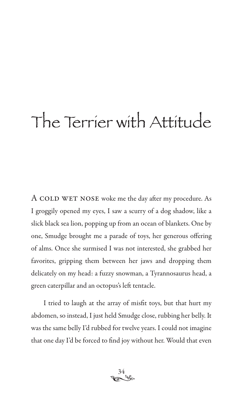## The Terrier with Attitude

A COLD WET NOSE woke me the day after my procedure. As I groggily opened my eyes, I saw a scurry of a dog shadow, like a slick black sea lion, popping up from an ocean of blankets. One by one, Smudge brought me a parade of toys, her generous offering of alms. Once she surmised I was not interested, she grabbed her favorites, gripping them between her jaws and dropping them delicately on my head: a fuzzy snowman, a Tyrannosaurus head, a green caterpillar and an octopus's left tentacle.

I tried to laugh at the array of misfit toys, but that hurt my abdomen, so instead, I just held Smudge close, rubbing her belly. It was the same belly I'd rubbed for twelve years. I could not imagine that one day I'd be forced to find joy without her. Would that even